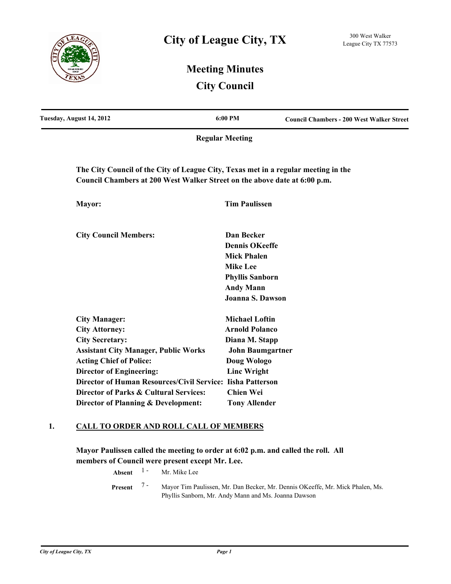

# **Meeting Minutes City Council**

| Tuesday, August 14, 2012                                                           | 6:00 PM                 | <b>Council Chambers - 200 West Walker Street</b> |
|------------------------------------------------------------------------------------|-------------------------|--------------------------------------------------|
|                                                                                    | <b>Regular Meeting</b>  |                                                  |
| The City Council of the City of League City, Texas met in a regular meeting in the |                         |                                                  |
| Council Chambers at 200 West Walker Street on the above date at 6:00 p.m.          |                         |                                                  |
| Mayor:                                                                             | <b>Tim Paulissen</b>    |                                                  |
| <b>City Council Members:</b>                                                       | Dan Becker              |                                                  |
|                                                                                    | <b>Dennis OKeeffe</b>   |                                                  |
|                                                                                    | <b>Mick Phalen</b>      |                                                  |
|                                                                                    | <b>Mike Lee</b>         |                                                  |
|                                                                                    | <b>Phyllis Sanborn</b>  |                                                  |
|                                                                                    | <b>Andy Mann</b>        |                                                  |
|                                                                                    | Joanna S. Dawson        |                                                  |
| <b>City Manager:</b>                                                               | <b>Michael Loftin</b>   |                                                  |
| <b>City Attorney:</b>                                                              | <b>Arnold Polanco</b>   |                                                  |
| <b>City Secretary:</b>                                                             | Diana M. Stapp          |                                                  |
| <b>Assistant City Manager, Public Works</b>                                        | <b>John Baumgartner</b> |                                                  |
| <b>Acting Chief of Police:</b>                                                     | Doug Wologo             |                                                  |
| <b>Director of Engineering:</b>                                                    | <b>Linc Wright</b>      |                                                  |
| <b>Director of Human Resources/Civil Service:</b>                                  | <b>Iisha Patterson</b>  |                                                  |
| Director of Parks & Cultural Services:                                             | <b>Chien Wei</b>        |                                                  |

### **1. CALL TO ORDER AND ROLL CALL OF MEMBERS**

**Director of Planning & Development: Tony Allender**

**Mayor Paulissen called the meeting to order at 6:02 p.m. and called the roll. All members of Council were present except Mr. Lee.**

**Absent** <sup>1</sup> - Mr. Mike Lee

Mayor Tim Paulissen, Mr. Dan Becker, Mr. Dennis OKeeffe, Mr. Mick Phalen, Ms. Phyllis Sanborn, Mr. Andy Mann and Ms. Joanna Dawson **Present** 7 -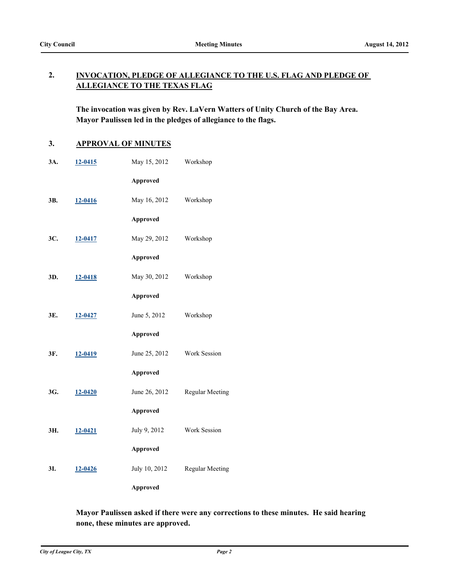#### **INVOCATION, PLEDGE OF ALLEGIANCE TO THE U.S. FLAG AND PLEDGE OF ALLEGIANCE TO THE TEXAS FLAG 2.**

**The invocation was given by Rev. LaVern Watters of Unity Church of the Bay Area. Mayor Paulissen led in the pledges of allegiance to the flags.**

## **3. APPROVAL OF MINUTES**

| 3A. | 12-0415 | May 15, 2012    | Workshop               |
|-----|---------|-----------------|------------------------|
|     |         | <b>Approved</b> |                        |
| ЗΒ. | 12-0416 | May 16, 2012    | Workshop               |
|     |         | <b>Approved</b> |                        |
| 3C. | 12-0417 | May 29, 2012    | Workshop               |
|     |         | <b>Approved</b> |                        |
| 3D. | 12-0418 | May 30, 2012    | Workshop               |
|     |         | <b>Approved</b> |                        |
| 3E. | 12-0427 | June 5, 2012    | Workshop               |
|     |         | <b>Approved</b> |                        |
| 3F. | 12-0419 | June 25, 2012   | Work Session           |
|     |         | <b>Approved</b> |                        |
| 3G. | 12-0420 | June 26, 2012   | <b>Regular Meeting</b> |
|     |         | <b>Approved</b> |                        |
| ЗΗ. | 12-0421 | July 9, 2012    | Work Session           |
|     |         | <b>Approved</b> |                        |
| 3I. | 12-0426 | July 10, 2012   | <b>Regular Meeting</b> |
|     |         | <b>Approved</b> |                        |

### **Mayor Paulissen asked if there were any corrections to these minutes. He said hearing none, these minutes are approved.**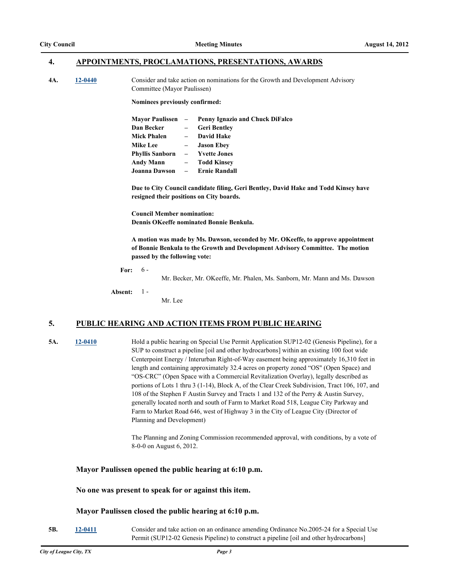#### **4. APPOINTMENTS, PROCLAMATIONS, PRESENTATIONS, AWARDS**

**4A. [12-0440](http://leaguecity.legistar.com/gateway.aspx?m=l&id=3288)** Consider and take action on nominations for the Growth and Development Advisory Committee (Mayor Paulissen)

**Nominees previously confirmed:**

|                                         |     | Mayor Paulissen – Penny Ignazio and Chuck DiFalco |
|-----------------------------------------|-----|---------------------------------------------------|
| Dan Becker                              | $-$ | <b>Geri Bentley</b>                               |
| Mick Phalen                             |     | - David Hake                                      |
| <b>Mike Lee</b>                         |     | – Jason Ebev                                      |
| Phyllis Sanborn                         |     | – Yvette Jones                                    |
| Andy Mann                               |     | – Todd Kinsev                                     |
| Joanna Dawson      –      Ernie Randall |     |                                                   |

**Due to City Council candidate filing, Geri Bentley, David Hake and Todd Kinsey have resigned their positions on City boards.**

**Council Member nomination: Dennis OKeeffe nominated Bonnie Benkula.**

**A motion was made by Ms. Dawson, seconded by Mr. OKeeffe, to approve appointment of Bonnie Benkula to the Growth and Development Advisory Committee. The motion passed by the following vote:**

**For:** 6 -

Mr. Becker, Mr. OKeeffe, Mr. Phalen, Ms. Sanborn, Mr. Mann and Ms. Dawson

**Absent:** 1 -

### **5. PUBLIC HEARING AND ACTION ITEMS FROM PUBLIC HEARING**

Mr. Lee

**5A. [12-0410](http://leaguecity.legistar.com/gateway.aspx?m=l&id=3258)** Hold a public hearing on Special Use Permit Application SUP12-02 (Genesis Pipeline), for a SUP to construct a pipeline [oil and other hydrocarbons] within an existing 100 foot wide Centerpoint Energy / Interurban Right-of-Way easement being approximately 16,310 feet in length and containing approximately 32.4 acres on property zoned "OS" (Open Space) and "OS-CRC" (Open Space with a Commercial Revitalization Overlay), legally described as portions of Lots 1 thru 3 (1-14), Block A, of the Clear Creek Subdivision, Tract 106, 107, and 108 of the Stephen F Austin Survey and Tracts 1 and 132 of the Perry & Austin Survey, generally located north and south of Farm to Market Road 518, League City Parkway and Farm to Market Road 646, west of Highway 3 in the City of League City (Director of Planning and Development)

> The Planning and Zoning Commission recommended approval, with conditions, by a vote of 8-0-0 on August 6, 2012.

#### **Mayor Paulissen opened the public hearing at 6:10 p.m.**

#### **No one was present to speak for or against this item.**

#### **Mayor Paulissen closed the public hearing at 6:10 p.m.**

**5B. [12-0411](http://leaguecity.legistar.com/gateway.aspx?m=l&id=3259)** Consider and take action on an ordinance amending Ordinance No.2005-24 for a Special Use Permit (SUP12-02 Genesis Pipeline) to construct a pipeline [oil and other hydrocarbons]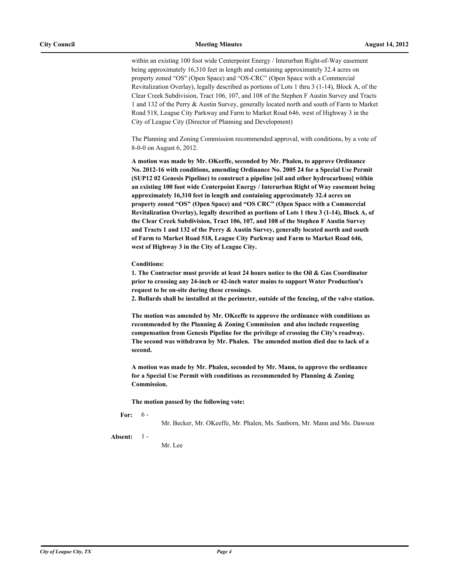within an existing 100 foot wide Centerpoint Energy / Interurban Right-of-Way easement being approximately 16,310 feet in length and containing approximately 32.4 acres on property zoned "OS" (Open Space) and "OS-CRC" (Open Space with a Commercial Revitalization Overlay), legally described as portions of Lots 1 thru 3 (1-14), Block A, of the Clear Creek Subdivision, Tract 106, 107, and 108 of the Stephen F Austin Survey and Tracts 1 and 132 of the Perry & Austin Survey, generally located north and south of Farm to Market Road 518, League City Parkway and Farm to Market Road 646, west of Highway 3 in the City of League City (Director of Planning and Development)

The Planning and Zoning Commission recommended approval, with conditions, by a vote of 8-0-0 on August 6, 2012.

**A motion was made by Mr. OKeeffe, seconded by Mr. Phalen, to approve Ordinance No. 2012-16 with conditions, amending Ordinance No. 2005 24 for a Special Use Permit (SUP12 02 Genesis Pipeline) to construct a pipeline [oil and other hydrocarbons] within an existing 100 foot wide Centerpoint Energy / Interurban Right of Way easement being approximately 16,310 feet in length and containing approximately 32.4 acres on property zoned "OS" (Open Space) and "OS CRC" (Open Space with a Commercial Revitalization Overlay), legally described as portions of Lots 1 thru 3 (1-14), Block A, of the Clear Creek Subdivision, Tract 106, 107, and 108 of the Stephen F Austin Survey and Tracts 1 and 132 of the Perry & Austin Survey, generally located north and south of Farm to Market Road 518, League City Parkway and Farm to Market Road 646, west of Highway 3 in the City of League City.** 

**Conditions:**

**1. The Contractor must provide at least 24 hours notice to the Oil & Gas Coordinator prior to crossing any 24-inch or 42-inch water mains to support Water Production's request to be on-site during these crossings.**

**2. Bollards shall be installed at the perimeter, outside of the fencing, of the valve station.**

**The motion was amended by Mr. OKeeffe to approve the ordinance with conditions as recommended by the Planning & Zoning Commission and also include requesting compensation from Genesis Pipeline for the privilege of crossing the City's roadway. The second was withdrawn by Mr. Phalen. The amended motion died due to lack of a second.**

**A motion was made by Mr. Phalen, seconded by Mr. Mann, to approve the ordinance for a Special Use Permit with conditions as recommended by Planning & Zoning Commission.**

**The motion passed by the following vote:**

**For:**  $-6-$ 

Mr. Becker, Mr. OKeeffe, Mr. Phalen, Ms. Sanborn, Mr. Mann and Ms. Dawson

**Absent:** 1 -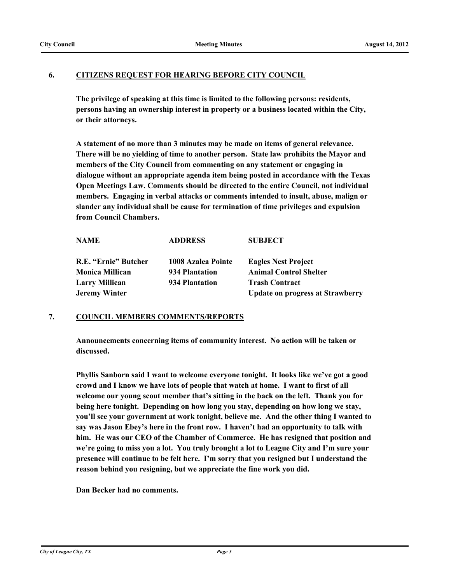### **6. CITIZENS REQUEST FOR HEARING BEFORE CITY COUNCIL**

**The privilege of speaking at this time is limited to the following persons: residents, persons having an ownership interest in property or a business located within the City, or their attorneys.**

**A statement of no more than 3 minutes may be made on items of general relevance. There will be no yielding of time to another person. State law prohibits the Mayor and members of the City Council from commenting on any statement or engaging in dialogue without an appropriate agenda item being posted in accordance with the Texas Open Meetings Law. Comments should be directed to the entire Council, not individual members. Engaging in verbal attacks or comments intended to insult, abuse, malign or slander any individual shall be cause for termination of time privileges and expulsion from Council Chambers.**

| <b>NAME</b>            | <b>ADDRESS</b>     | <b>SUBJECT</b>                          |
|------------------------|--------------------|-----------------------------------------|
| R.E. "Ernie" Butcher   | 1008 Azalea Pointe | <b>Eagles Nest Project</b>              |
| <b>Monica Millican</b> | 934 Plantation     | <b>Animal Control Shelter</b>           |
| <b>Larry Millican</b>  | 934 Plantation     | <b>Trash Contract</b>                   |
| <b>Jeremy Winter</b>   |                    | <b>Update on progress at Strawberry</b> |

### **7. COUNCIL MEMBERS COMMENTS/REPORTS**

**Announcements concerning items of community interest. No action will be taken or discussed.**

**Phyllis Sanborn said I want to welcome everyone tonight. It looks like we've got a good crowd and I know we have lots of people that watch at home. I want to first of all welcome our young scout member that's sitting in the back on the left. Thank you for being here tonight. Depending on how long you stay, depending on how long we stay, you'll see your government at work tonight, believe me. And the other thing I wanted to say was Jason Ebey's here in the front row. I haven't had an opportunity to talk with him. He was our CEO of the Chamber of Commerce. He has resigned that position and we're going to miss you a lot. You truly brought a lot to League City and I'm sure your presence will continue to be felt here. I'm sorry that you resigned but I understand the reason behind you resigning, but we appreciate the fine work you did.** 

**Dan Becker had no comments.**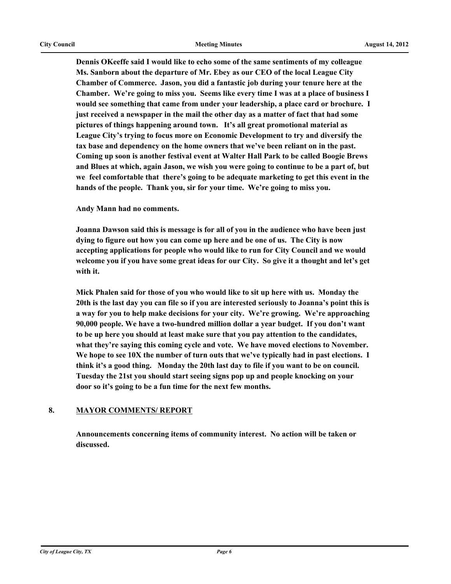**Dennis OKeeffe said I would like to echo some of the same sentiments of my colleague Ms. Sanborn about the departure of Mr. Ebey as our CEO of the local League City Chamber of Commerce. Jason, you did a fantastic job during your tenure here at the Chamber. We're going to miss you. Seems like every time I was at a place of business I would see something that came from under your leadership, a place card or brochure. I just received a newspaper in the mail the other day as a matter of fact that had some pictures of things happening around town. It's all great promotional material as League City's trying to focus more on Economic Development to try and diversify the tax base and dependency on the home owners that we've been reliant on in the past. Coming up soon is another festival event at Walter Hall Park to be called Boogie Brews and Blues at which, again Jason, we wish you were going to continue to be a part of, but we feel comfortable that there's going to be adequate marketing to get this event in the hands of the people. Thank you, sir for your time. We're going to miss you.** 

**Andy Mann had no comments.**

**Joanna Dawson said this is message is for all of you in the audience who have been just dying to figure out how you can come up here and be one of us. The City is now accepting applications for people who would like to run for City Council and we would welcome you if you have some great ideas for our City. So give it a thought and let's get with it.** 

**Mick Phalen said for those of you who would like to sit up here with us. Monday the 20th is the last day you can file so if you are interested seriously to Joanna's point this is a way for you to help make decisions for your city. We're growing. We're approaching 90,000 people. We have a two-hundred million dollar a year budget. If you don't want to be up here you should at least make sure that you pay attention to the candidates, what they're saying this coming cycle and vote. We have moved elections to November. We hope to see 10X the number of turn outs that we've typically had in past elections. I think it's a good thing. Monday the 20th last day to file if you want to be on council. Tuesday the 21st you should start seeing signs pop up and people knocking on your door so it's going to be a fun time for the next few months.**

### **8. MAYOR COMMENTS/ REPORT**

**Announcements concerning items of community interest. No action will be taken or discussed.**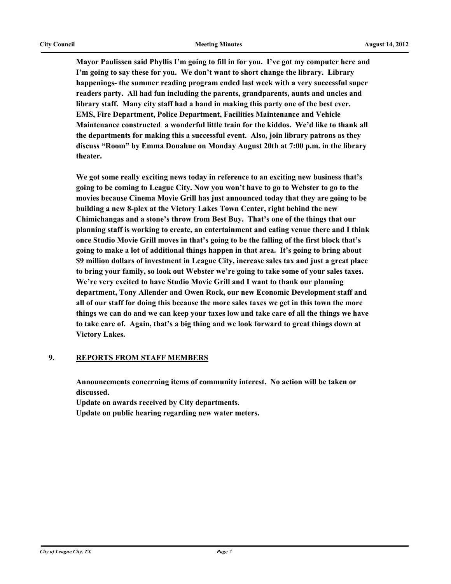**Mayor Paulissen said Phyllis I'm going to fill in for you. I've got my computer here and I'm going to say these for you. We don't want to short change the library. Library happenings- the summer reading program ended last week with a very successful super readers party. All had fun including the parents, grandparents, aunts and uncles and library staff. Many city staff had a hand in making this party one of the best ever. EMS, Fire Department, Police Department, Facilities Maintenance and Vehicle Maintenance constructed a wonderful little train for the kiddos. We'd like to thank all the departments for making this a successful event. Also, join library patrons as they discuss "Room" by Emma Donahue on Monday August 20th at 7:00 p.m. in the library theater.** 

**We got some really exciting news today in reference to an exciting new business that's going to be coming to League City. Now you won't have to go to Webster to go to the movies because Cinema Movie Grill has just announced today that they are going to be building a new 8-plex at the Victory Lakes Town Center, right behind the new Chimichangas and a stone's throw from Best Buy. That's one of the things that our planning staff is working to create, an entertainment and eating venue there and I think once Studio Movie Grill moves in that's going to be the falling of the first block that's going to make a lot of additional things happen in that area. It's going to bring about \$9 million dollars of investment in League City, increase sales tax and just a great place to bring your family, so look out Webster we're going to take some of your sales taxes. We're very excited to have Studio Movie Grill and I want to thank our planning department, Tony Allender and Owen Rock, our new Economic Development staff and all of our staff for doing this because the more sales taxes we get in this town the more things we can do and we can keep your taxes low and take care of all the things we have to take care of. Again, that's a big thing and we look forward to great things down at Victory Lakes.**

### **9. REPORTS FROM STAFF MEMBERS**

**Announcements concerning items of community interest. No action will be taken or discussed.**

**Update on awards received by City departments.**

**Update on public hearing regarding new water meters.**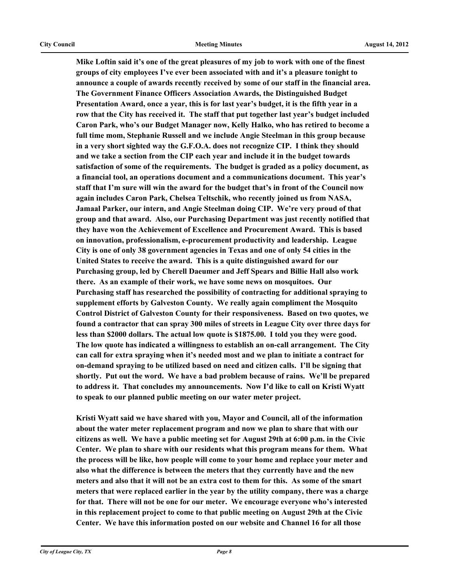**Mike Loftin said it's one of the great pleasures of my job to work with one of the finest groups of city employees I've ever been associated with and it's a pleasure tonight to announce a couple of awards recently received by some of our staff in the financial area. The Government Finance Officers Association Awards, the Distinguished Budget Presentation Award, once a year, this is for last year's budget, it is the fifth year in a row that the City has received it. The staff that put together last year's budget included Caron Park, who's our Budget Manager now, Kelly Halko, who has retired to become a full time mom, Stephanie Russell and we include Angie Steelman in this group because in a very short sighted way the G.F.O.A. does not recognize CIP. I think they should and we take a section from the CIP each year and include it in the budget towards satisfaction of some of the requirements. The budget is graded as a policy document, as a financial tool, an operations document and a communications document. This year's staff that I'm sure will win the award for the budget that's in front of the Council now again includes Caron Park, Chelsea Teltschik, who recently joined us from NASA, Jamaal Parker, our intern, and Angie Steelman doing CIP. We're very proud of that group and that award. Also, our Purchasing Department was just recently notified that they have won the Achievement of Excellence and Procurement Award. This is based on innovation, professionalism, e-procurement productivity and leadership. League City is one of only 38 government agencies in Texas and one of only 54 cities in the United States to receive the award. This is a quite distinguished award for our Purchasing group, led by Cherell Daeumer and Jeff Spears and Billie Hall also work there. As an example of their work, we have some news on mosquitoes. Our Purchasing staff has researched the possibility of contracting for additional spraying to supplement efforts by Galveston County. We really again compliment the Mosquito Control District of Galveston County for their responsiveness. Based on two quotes, we found a contractor that can spray 300 miles of streets in League City over three days for less than \$2000 dollars. The actual low quote is \$1875.00. I told you they were good. The low quote has indicated a willingness to establish an on-call arrangement. The City can call for extra spraying when it's needed most and we plan to initiate a contract for on-demand spraying to be utilized based on need and citizen calls. I'll be signing that shortly. Put out the word. We have a bad problem because of rains. We'll be prepared to address it. That concludes my announcements. Now I'd like to call on Kristi Wyatt to speak to our planned public meeting on our water meter project.** 

**Kristi Wyatt said we have shared with you, Mayor and Council, all of the information about the water meter replacement program and now we plan to share that with our citizens as well. We have a public meeting set for August 29th at 6:00 p.m. in the Civic Center. We plan to share with our residents what this program means for them. What the process will be like, how people will come to your home and replace your meter and also what the difference is between the meters that they currently have and the new meters and also that it will not be an extra cost to them for this. As some of the smart meters that were replaced earlier in the year by the utility company, there was a charge for that. There will not be one for our meter. We encourage everyone who's interested in this replacement project to come to that public meeting on August 29th at the Civic Center. We have this information posted on our website and Channel 16 for all those**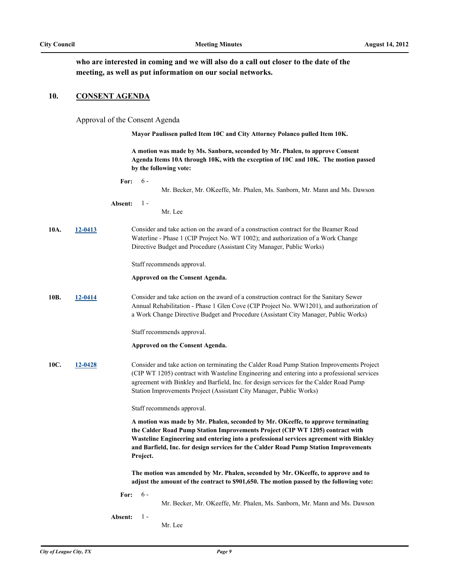**who are interested in coming and we will also do a call out closer to the date of the meeting, as well as put information on our social networks.**

#### **10. CONSENT AGENDA**

Approval of the Consent Agenda

**Mayor Paulissen pulled Item 10C and City Attorney Polanco pulled Item 10K.** 

**A motion was made by Ms. Sanborn, seconded by Mr. Phalen, to approve Consent Agenda Items 10A through 10K, with the exception of 10C and 10K. The motion passed by the following vote:**

**For:** 6 -

Mr. Becker, Mr. OKeeffe, Mr. Phalen, Ms. Sanborn, Mr. Mann and Ms. Dawson

- **Absent:** 1 -
- Mr. Lee
- **10A. [12-0413](http://leaguecity.legistar.com/gateway.aspx?m=l&id=3261)** Consider and take action on the award of a construction contract for the Beamer Road Waterline - Phase 1 (CIP Project No. WT 1002); and authorization of a Work Change Directive Budget and Procedure (Assistant City Manager, Public Works)

Staff recommends approval.

#### **Approved on the Consent Agenda.**

**10B. [12-0414](http://leaguecity.legistar.com/gateway.aspx?m=l&id=3262)** Consider and take action on the award of a construction contract for the Sanitary Sewer Annual Rehabilitation - Phase 1 Glen Cove (CIP Project No. WW1201), and authorization of a Work Change Directive Budget and Procedure (Assistant City Manager, Public Works)

Staff recommends approval.

#### **Approved on the Consent Agenda.**

**10C. [12-0428](http://leaguecity.legistar.com/gateway.aspx?m=l&id=3276)** Consider and take action on terminating the Calder Road Pump Station Improvements Project (CIP WT 1205) contract with Wasteline Engineering and entering into a professional services agreement with Binkley and Barfield, Inc. for design services for the Calder Road Pump Station Improvements Project (Assistant City Manager, Public Works)

Staff recommends approval.

**A motion was made by Mr. Phalen, seconded by Mr. OKeeffe, to approve terminating the Calder Road Pump Station Improvements Project (CIP WT 1205) contract with Wasteline Engineering and entering into a professional services agreement with Binkley and Barfield, Inc. for design services for the Calder Road Pump Station Improvements Project.**

**The motion was amended by Mr. Phalen, seconded by Mr. OKeeffe, to approve and to adjust the amount of the contract to \$901,650. The motion passed by the following vote:**

**For:** 6 -

Mr. Becker, Mr. OKeeffe, Mr. Phalen, Ms. Sanborn, Mr. Mann and Ms. Dawson

**Absent:**  $1 -$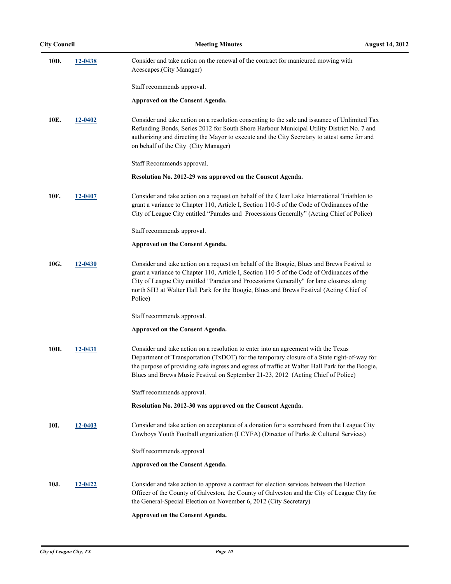| 10D. | 12-0438        | Consider and take action on the renewal of the contract for manicured mowing with<br>Acescapes.(City Manager)                                                                                                                                                                                                                                                                              |
|------|----------------|--------------------------------------------------------------------------------------------------------------------------------------------------------------------------------------------------------------------------------------------------------------------------------------------------------------------------------------------------------------------------------------------|
|      |                | Staff recommends approval.                                                                                                                                                                                                                                                                                                                                                                 |
|      |                | Approved on the Consent Agenda.                                                                                                                                                                                                                                                                                                                                                            |
| 10E. | 12-0402        | Consider and take action on a resolution consenting to the sale and issuance of Unlimited Tax<br>Refunding Bonds, Series 2012 for South Shore Harbour Municipal Utility District No. 7 and<br>authorizing and directing the Mayor to execute and the City Secretary to attest same for and<br>on behalf of the City (City Manager)                                                         |
|      |                | Staff Recommends approval.                                                                                                                                                                                                                                                                                                                                                                 |
|      |                | Resolution No. 2012-29 was approved on the Consent Agenda.                                                                                                                                                                                                                                                                                                                                 |
| 10F. | 12-0407        | Consider and take action on a request on behalf of the Clear Lake International Triathlon to<br>grant a variance to Chapter 110, Article I, Section 110-5 of the Code of Ordinances of the<br>City of League City entitled "Parades and Processions Generally" (Acting Chief of Police)                                                                                                    |
|      |                | Staff recommends approval.                                                                                                                                                                                                                                                                                                                                                                 |
|      |                | Approved on the Consent Agenda.                                                                                                                                                                                                                                                                                                                                                            |
| 10G. | 12-0430        | Consider and take action on a request on behalf of the Boogie, Blues and Brews Festival to<br>grant a variance to Chapter 110, Article I, Section 110-5 of the Code of Ordinances of the<br>City of League City entitled "Parades and Processions Generally" for lane closures along<br>north SH3 at Walter Hall Park for the Boogie, Blues and Brews Festival (Acting Chief of<br>Police) |
|      |                | Staff recommends approval.                                                                                                                                                                                                                                                                                                                                                                 |
|      |                | Approved on the Consent Agenda.                                                                                                                                                                                                                                                                                                                                                            |
| 10H. | 12-0431        | Consider and take action on a resolution to enter into an agreement with the Texas<br>Department of Transportation (TxDOT) for the temporary closure of a State right-of-way for<br>the purpose of providing safe ingress and egress of traffic at Walter Hall Park for the Boogie,<br>Blues and Brews Music Festival on September 21-23, 2012 (Acting Chief of Police)                    |
|      |                | Staff recommends approval.                                                                                                                                                                                                                                                                                                                                                                 |
|      |                | Resolution No. 2012-30 was approved on the Consent Agenda.                                                                                                                                                                                                                                                                                                                                 |
| 10I. | <u>12-0403</u> | Consider and take action on acceptance of a donation for a scoreboard from the League City<br>Cowboys Youth Football organization (LCYFA) (Director of Parks & Cultural Services)                                                                                                                                                                                                          |
|      |                | Staff recommends approval                                                                                                                                                                                                                                                                                                                                                                  |
|      |                | Approved on the Consent Agenda.                                                                                                                                                                                                                                                                                                                                                            |
| 10J. | 12-0422        | Consider and take action to approve a contract for election services between the Election<br>Officer of the County of Galveston, the County of Galveston and the City of League City for<br>the General-Special Election on November 6, 2012 (City Secretary)                                                                                                                              |
|      |                | Approved on the Consent Agenda.                                                                                                                                                                                                                                                                                                                                                            |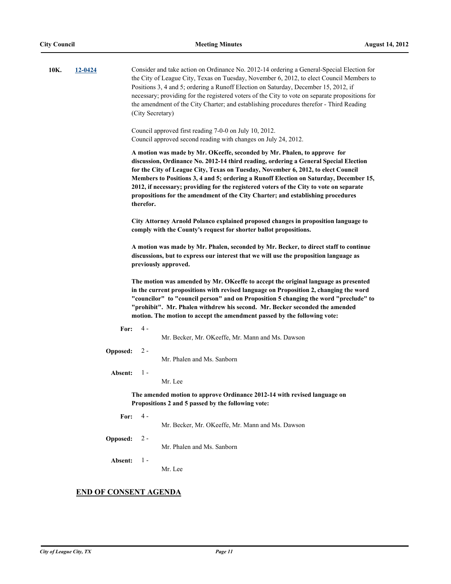| 10K. | 12-0424 |          | Consider and take action on Ordinance No. 2012-14 ordering a General-Special Election for<br>the City of League City, Texas on Tuesday, November 6, 2012, to elect Council Members to<br>Positions 3, 4 and 5; ordering a Runoff Election on Saturday, December 15, 2012, if<br>necessary; providing for the registered voters of the City to vote on separate propositions for<br>the amendment of the City Charter; and establishing procedures therefor - Third Reading<br>(City Secretary)                                            |  |  |
|------|---------|----------|-------------------------------------------------------------------------------------------------------------------------------------------------------------------------------------------------------------------------------------------------------------------------------------------------------------------------------------------------------------------------------------------------------------------------------------------------------------------------------------------------------------------------------------------|--|--|
|      |         |          | Council approved first reading 7-0-0 on July 10, 2012.<br>Council approved second reading with changes on July 24, 2012.                                                                                                                                                                                                                                                                                                                                                                                                                  |  |  |
|      |         |          | A motion was made by Mr. OKeeffe, seconded by Mr. Phalen, to approve for<br>discussion, Ordinance No. 2012-14 third reading, ordering a General Special Election<br>for the City of League City, Texas on Tuesday, November 6, 2012, to elect Council<br>Members to Positions 3, 4 and 5; ordering a Runoff Election on Saturday, December 15,<br>2012, if necessary; providing for the registered voters of the City to vote on separate<br>propositions for the amendment of the City Charter; and establishing procedures<br>therefor. |  |  |
|      |         |          | City Attorney Arnold Polanco explained proposed changes in proposition language to<br>comply with the County's request for shorter ballot propositions.                                                                                                                                                                                                                                                                                                                                                                                   |  |  |
|      |         |          | A motion was made by Mr. Phalen, seconded by Mr. Becker, to direct staff to continue<br>discussions, but to express our interest that we will use the proposition language as<br>previously approved.                                                                                                                                                                                                                                                                                                                                     |  |  |
|      |         |          | The motion was amended by Mr. OKeeffe to accept the original language as presented<br>in the current propositions with revised language on Proposition 2, changing the word<br>"councilor" to "council person" and on Proposition 5 changing the word "preclude" to<br>"prohibit". Mr. Phalen withdrew his second. Mr. Becker seconded the amended<br>motion. The motion to accept the amendment passed by the following vote:                                                                                                            |  |  |
|      |         | For:     | 4 -<br>Mr. Becker, Mr. OKeeffe, Mr. Mann and Ms. Dawson                                                                                                                                                                                                                                                                                                                                                                                                                                                                                   |  |  |
|      |         | Opposed: | $2 -$<br>Mr. Phalen and Ms. Sanborn                                                                                                                                                                                                                                                                                                                                                                                                                                                                                                       |  |  |
|      |         | Absent:  | $1 -$<br>Mr. Lee                                                                                                                                                                                                                                                                                                                                                                                                                                                                                                                          |  |  |
|      |         |          | The amended motion to approve Ordinance 2012-14 with revised language on<br>Propositions 2 and 5 passed by the following vote:                                                                                                                                                                                                                                                                                                                                                                                                            |  |  |
|      |         | For:     | $4 -$<br>Mr. Becker, Mr. OKeeffe, Mr. Mann and Ms. Dawson                                                                                                                                                                                                                                                                                                                                                                                                                                                                                 |  |  |
|      |         | Opposed: | $2 -$<br>Mr. Phalen and Ms. Sanborn                                                                                                                                                                                                                                                                                                                                                                                                                                                                                                       |  |  |
|      |         | Absent:  | $1 -$<br>Mr. Lee                                                                                                                                                                                                                                                                                                                                                                                                                                                                                                                          |  |  |
|      |         |          | <b>END OF CONSENT AGENDA</b>                                                                                                                                                                                                                                                                                                                                                                                                                                                                                                              |  |  |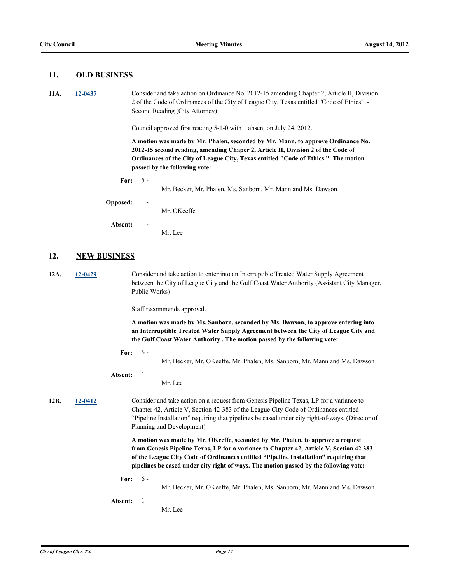#### **11. OLD BUSINESS**

**11A. [12-0437](http://leaguecity.legistar.com/gateway.aspx?m=l&id=3285)** Consider and take action on Ordinance No. 2012-15 amending Chapter 2, Article II, Division 2 of the Code of Ordinances of the City of League City, Texas entitled "Code of Ethics" - Second Reading (City Attorney)

Council approved first reading 5-1-0 with 1 absent on July 24, 2012.

**A motion was made by Mr. Phalen, seconded by Mr. Mann, to approve Ordinance No. 2012-15 second reading, amending Chaper 2, Article II, Division 2 of the Code of Ordinances of the City of League City, Texas entitled "Code of Ethics." The motion passed by the following vote:**

**For:** 5 -

Mr. Becker, Mr. Phalen, Ms. Sanborn, Mr. Mann and Ms. Dawson

**Opposed:** 1 -

Mr. OKeeffe

Mr. Lee

**Absent:** 1 -

**12. NEW BUSINESS**

**12A. [12-0429](http://leaguecity.legistar.com/gateway.aspx?m=l&id=3277)** Consider and take action to enter into an Interruptible Treated Water Supply Agreement between the City of League City and the Gulf Coast Water Authority (Assistant City Manager, Public Works)

Staff recommends approval.

**A motion was made by Ms. Sanborn, seconded by Ms. Dawson, to approve entering into an Interruptible Treated Water Supply Agreement between the City of League City and the Gulf Coast Water Authority . The motion passed by the following vote:**

**For:** 6 -

Mr. Becker, Mr. OKeeffe, Mr. Phalen, Ms. Sanborn, Mr. Mann and Ms. Dawson

**Absent:**  $1 -$ 

Mr. Lee

**12B. [12-0412](http://leaguecity.legistar.com/gateway.aspx?m=l&id=3260)** Consider and take action on a request from Genesis Pipeline Texas, LP for a variance to Chapter 42, Article V, Section 42-383 of the League City Code of Ordinances entitled "Pipeline Installation" requiring that pipelines be cased under city right-of-ways. (Director of Planning and Development)

> **A motion was made by Mr. OKeeffe, seconded by Mr. Phalen, to approve a request from Genesis Pipeline Texas, LP for a variance to Chapter 42, Article V, Section 42 383 of the League City Code of Ordinances entitled "Pipeline Installation" requiring that pipelines be cased under city right of ways. The motion passed by the following vote:**

- **For:** 6
	- Mr. Becker, Mr. OKeeffe, Mr. Phalen, Ms. Sanborn, Mr. Mann and Ms. Dawson

**Absent:** 1 -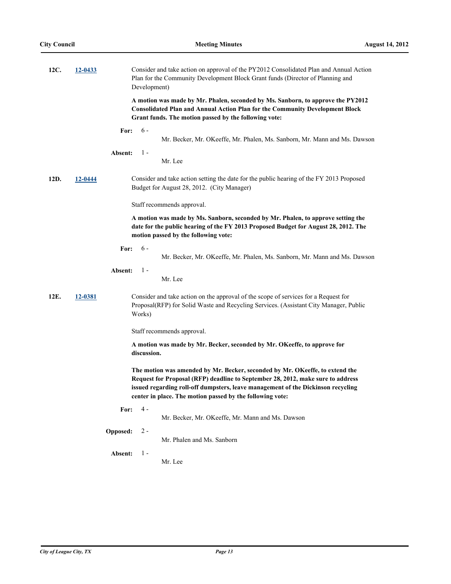| 12C. | 12-0433 | Consider and take action on approval of the PY2012 Consolidated Plan and Annual Action<br>Plan for the Community Development Block Grant funds (Director of Planning and<br>Development)                                                                                                                         |
|------|---------|------------------------------------------------------------------------------------------------------------------------------------------------------------------------------------------------------------------------------------------------------------------------------------------------------------------|
|      |         | A motion was made by Mr. Phalen, seconded by Ms. Sanborn, to approve the PY2012<br><b>Consolidated Plan and Annual Action Plan for the Community Development Block</b><br>Grant funds. The motion passed by the following vote:                                                                                  |
|      |         | $6 -$<br>For:                                                                                                                                                                                                                                                                                                    |
|      |         | Mr. Becker, Mr. OKeeffe, Mr. Phalen, Ms. Sanborn, Mr. Mann and Ms. Dawson                                                                                                                                                                                                                                        |
|      |         | $1 -$<br>Absent:                                                                                                                                                                                                                                                                                                 |
|      |         | Mr. Lee                                                                                                                                                                                                                                                                                                          |
| 12D. | 12-0444 | Consider and take action setting the date for the public hearing of the FY 2013 Proposed<br>Budget for August 28, 2012. (City Manager)                                                                                                                                                                           |
|      |         | Staff recommends approval.                                                                                                                                                                                                                                                                                       |
|      |         | A motion was made by Ms. Sanborn, seconded by Mr. Phalen, to approve setting the<br>date for the public hearing of the FY 2013 Proposed Budget for August 28, 2012. The<br>motion passed by the following vote:                                                                                                  |
|      |         | $6 -$<br>For:                                                                                                                                                                                                                                                                                                    |
|      |         | Mr. Becker, Mr. OKeeffe, Mr. Phalen, Ms. Sanborn, Mr. Mann and Ms. Dawson                                                                                                                                                                                                                                        |
|      |         | $1 -$<br>Absent:<br>Mr. Lee                                                                                                                                                                                                                                                                                      |
| 12E. | 12-0381 | Consider and take action on the approval of the scope of services for a Request for<br>Proposal(RFP) for Solid Waste and Recycling Services. (Assistant City Manager, Public<br>Works)                                                                                                                           |
|      |         | Staff recommends approval.                                                                                                                                                                                                                                                                                       |
|      |         | A motion was made by Mr. Becker, seconded by Mr. OKeeffe, to approve for<br>discussion.                                                                                                                                                                                                                          |
|      |         | The motion was amended by Mr. Becker, seconded by Mr. OKeeffe, to extend the<br>Request for Proposal (RFP) deadline to September 28, 2012, make sure to address<br>issued regarding roll-off dumpsters, leave management of the Dickinson recycling<br>center in place. The motion passed by the following vote: |
|      |         | 4 -<br>For:                                                                                                                                                                                                                                                                                                      |
|      |         | Mr. Becker, Mr. OKeeffe, Mr. Mann and Ms. Dawson                                                                                                                                                                                                                                                                 |
|      |         | $2 -$<br>Opposed:<br>Mr. Phalen and Ms. Sanborn                                                                                                                                                                                                                                                                  |
|      |         | $1 -$<br>Absent:                                                                                                                                                                                                                                                                                                 |
|      |         | Mr. Lee                                                                                                                                                                                                                                                                                                          |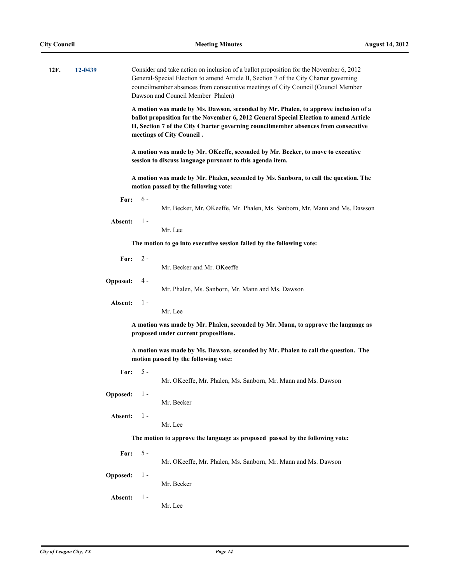| 12F. | 12-0439                                                                                                                   |                 |                                                                                                                                                                                                                                                                                                 | Consider and take action on inclusion of a ballot proposition for the November 6, 2012<br>General-Special Election to amend Article II, Section 7 of the City Charter governing<br>councilmember absences from consecutive meetings of City Council (Council Member<br>Dawson and Council Member Phalen) |  |  |  |
|------|---------------------------------------------------------------------------------------------------------------------------|-----------------|-------------------------------------------------------------------------------------------------------------------------------------------------------------------------------------------------------------------------------------------------------------------------------------------------|----------------------------------------------------------------------------------------------------------------------------------------------------------------------------------------------------------------------------------------------------------------------------------------------------------|--|--|--|
|      |                                                                                                                           |                 | A motion was made by Ms. Dawson, seconded by Mr. Phalen, to approve inclusion of a<br>ballot proposition for the November 6, 2012 General Special Election to amend Article<br>II, Section 7 of the City Charter governing councilmember absences from consecutive<br>meetings of City Council. |                                                                                                                                                                                                                                                                                                          |  |  |  |
|      |                                                                                                                           |                 |                                                                                                                                                                                                                                                                                                 | A motion was made by Mr. OKeeffe, seconded by Mr. Becker, to move to executive<br>session to discuss language pursuant to this agenda item.                                                                                                                                                              |  |  |  |
|      |                                                                                                                           |                 | A motion was made by Mr. Phalen, seconded by Ms. Sanborn, to call the question. The<br>motion passed by the following vote:                                                                                                                                                                     |                                                                                                                                                                                                                                                                                                          |  |  |  |
|      |                                                                                                                           | For:            | $6 -$                                                                                                                                                                                                                                                                                           | Mr. Becker, Mr. OKeeffe, Mr. Phalen, Ms. Sanborn, Mr. Mann and Ms. Dawson                                                                                                                                                                                                                                |  |  |  |
|      |                                                                                                                           | Absent:         | $1 -$                                                                                                                                                                                                                                                                                           | Mr. Lee                                                                                                                                                                                                                                                                                                  |  |  |  |
|      |                                                                                                                           |                 |                                                                                                                                                                                                                                                                                                 | The motion to go into executive session failed by the following vote:                                                                                                                                                                                                                                    |  |  |  |
|      |                                                                                                                           | For:            | $2 -$                                                                                                                                                                                                                                                                                           | Mr. Becker and Mr. OKeeffe                                                                                                                                                                                                                                                                               |  |  |  |
|      |                                                                                                                           | Opposed:        | 4 -                                                                                                                                                                                                                                                                                             | Mr. Phalen, Ms. Sanborn, Mr. Mann and Ms. Dawson                                                                                                                                                                                                                                                         |  |  |  |
|      |                                                                                                                           | Absent:         | $1 -$                                                                                                                                                                                                                                                                                           | Mr. Lee                                                                                                                                                                                                                                                                                                  |  |  |  |
|      | A motion was made by Mr. Phalen, seconded by Mr. Mann, to approve the language as<br>proposed under current propositions. |                 |                                                                                                                                                                                                                                                                                                 |                                                                                                                                                                                                                                                                                                          |  |  |  |
|      |                                                                                                                           |                 |                                                                                                                                                                                                                                                                                                 | A motion was made by Ms. Dawson, seconded by Mr. Phalen to call the question. The<br>motion passed by the following vote:                                                                                                                                                                                |  |  |  |
|      |                                                                                                                           | For:            | $5 -$                                                                                                                                                                                                                                                                                           | Mr. OKeeffe, Mr. Phalen, Ms. Sanborn, Mr. Mann and Ms. Dawson                                                                                                                                                                                                                                            |  |  |  |
|      |                                                                                                                           | <b>Opposed:</b> | $1 -$                                                                                                                                                                                                                                                                                           | Mr. Becker                                                                                                                                                                                                                                                                                               |  |  |  |
|      |                                                                                                                           | Absent:         | $1 -$                                                                                                                                                                                                                                                                                           | Mr. Lee                                                                                                                                                                                                                                                                                                  |  |  |  |
|      |                                                                                                                           |                 |                                                                                                                                                                                                                                                                                                 | The motion to approve the language as proposed passed by the following vote:                                                                                                                                                                                                                             |  |  |  |
|      |                                                                                                                           | For:            | $5 -$                                                                                                                                                                                                                                                                                           | Mr. OKeeffe, Mr. Phalen, Ms. Sanborn, Mr. Mann and Ms. Dawson                                                                                                                                                                                                                                            |  |  |  |
|      |                                                                                                                           | Opposed:        | $1 -$                                                                                                                                                                                                                                                                                           | Mr. Becker                                                                                                                                                                                                                                                                                               |  |  |  |
|      |                                                                                                                           | Absent:         | $1 -$                                                                                                                                                                                                                                                                                           | Mr. Lee                                                                                                                                                                                                                                                                                                  |  |  |  |
|      |                                                                                                                           |                 |                                                                                                                                                                                                                                                                                                 |                                                                                                                                                                                                                                                                                                          |  |  |  |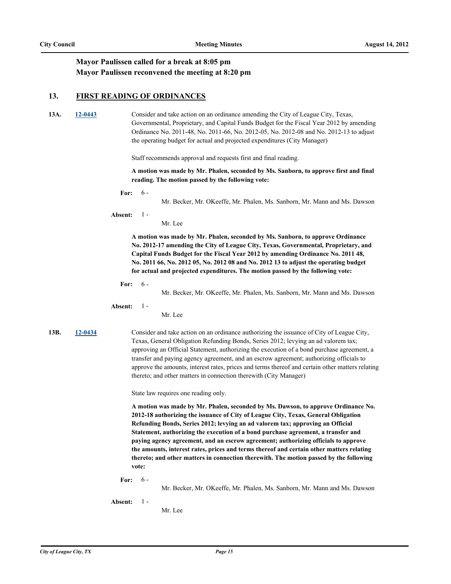### **Mayor Paulissen called for a break at 8:05 pm Mayor Paulissen reconvened the meeting at 8:20 pm**

#### **13. FIRST READING OF ORDINANCES**

**13A. [12-0443](http://leaguecity.legistar.com/gateway.aspx?m=l&id=3291)** Consider and take action on an ordinance amending the City of League City, Texas, Governmental, Proprietary, and Capital Funds Budget for the Fiscal Year 2012 by amending Ordinance No. 2011-48, No. 2011-66, No. 2012-05, No. 2012-08 and No. 2012-13 to adjust the operating budget for actual and projected expenditures (City Manager)

Staff recommends approval and requests first and final reading.

**A motion was made by Mr. Phalen, seconded by Ms. Sanborn, to approve first and final reading. The motion passed by the following vote:**

**For:** 6 -

Mr. Becker, Mr. OKeeffe, Mr. Phalen, Ms. Sanborn, Mr. Mann and Ms. Dawson

#### **Absent:** 1 -

Mr. Lee

**A motion was made by Mr. Phalen, seconded by Ms. Sanborn, to approve Ordinance No. 2012-17 amending the City of League City, Texas, Governmental, Proprietary, and Capital Funds Budget for the Fiscal Year 2012 by amending Ordinance No. 2011 48, No. 2011 66, No. 2012 05, No. 2012 08 and No. 2012 13 to adjust the operating budget for actual and projected expenditures. The motion passed by the following vote:**

**For:** 6 -

Mr. Becker, Mr. OKeeffe, Mr. Phalen, Ms. Sanborn, Mr. Mann and Ms. Dawson

**Absent:** 1 -

Mr. Lee

**13B. [12-0434](http://leaguecity.legistar.com/gateway.aspx?m=l&id=3282)** Consider and take action on an ordinance authorizing the issuance of City of League City, Texas, General Obligation Refunding Bonds, Series 2012; levying an ad valorem tax; approving an Official Statement, authorizing the execution of a bond purchase agreement, a transfer and paying agency agreement, and an escrow agreement; authorizing officials to approve the amounts, interest rates, prices and terms thereof and certain other matters relating thereto; and other matters in connection therewith (City Manager)

State law requires one reading only.

**A motion was made by Mr. Phalen, seconded by Ms. Dawson, to approve Ordinance No. 2012-18 authorizing the issuance of City of League City, Texas, General Obligation Refunding Bonds, Series 2012; levying an ad valorem tax; approving an Official Statement, authorizing the execution of a bond purchase agreement, a transfer and paying agency agreement, and an escrow agreement; authorizing officials to approve the amounts, interest rates, prices and terms thereof and certain other matters relating thereto; and other matters in connection therewith. The motion passed by the following vote:**

**For:** 6 -

Mr. Becker, Mr. OKeeffe, Mr. Phalen, Ms. Sanborn, Mr. Mann and Ms. Dawson

**Absent:**  $1 -$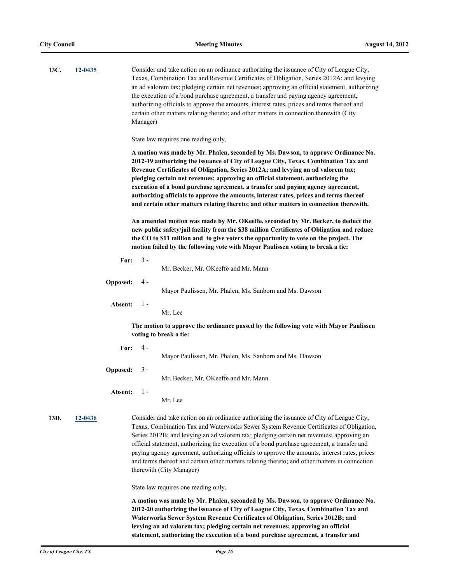| 13C. | 12-0435 | Consider and take action on an ordinance authorizing the issuance of City of League City,<br>Texas, Combination Tax and Revenue Certificates of Obligation, Series 2012A; and levying<br>an ad valorem tax; pledging certain net revenues; approving an official statement, authorizing<br>the execution of a bond purchase agreement, a transfer and paying agency agreement,<br>authorizing officials to approve the amounts, interest rates, prices and terms thereof and<br>certain other matters relating thereto; and other matters in connection therewith (City<br>Manager)<br>State law requires one reading only.<br>A motion was made by Mr. Phalen, seconded by Ms. Dawson, to approve Ordinance No.<br>2012-19 authorizing the issuance of City of League City, Texas, Combination Tax and<br>Revenue Certificates of Obligation, Series 2012A; and levying an ad valorem tax; |                                                                                                                                                                                                                                                                                                                                                        |                                                                                                                                                                                                                                                                                                                                                                                                                                                                                                                                                                                                             |  |  |
|------|---------|---------------------------------------------------------------------------------------------------------------------------------------------------------------------------------------------------------------------------------------------------------------------------------------------------------------------------------------------------------------------------------------------------------------------------------------------------------------------------------------------------------------------------------------------------------------------------------------------------------------------------------------------------------------------------------------------------------------------------------------------------------------------------------------------------------------------------------------------------------------------------------------------|--------------------------------------------------------------------------------------------------------------------------------------------------------------------------------------------------------------------------------------------------------------------------------------------------------------------------------------------------------|-------------------------------------------------------------------------------------------------------------------------------------------------------------------------------------------------------------------------------------------------------------------------------------------------------------------------------------------------------------------------------------------------------------------------------------------------------------------------------------------------------------------------------------------------------------------------------------------------------------|--|--|
|      |         |                                                                                                                                                                                                                                                                                                                                                                                                                                                                                                                                                                                                                                                                                                                                                                                                                                                                                             | pledging certain net revenues; approving an official statement, authorizing the<br>execution of a bond purchase agreement, a transfer and paying agency agreement,<br>authorizing officials to approve the amounts, interest rates, prices and terms thereof<br>and certain other matters relating thereto; and other matters in connection therewith. |                                                                                                                                                                                                                                                                                                                                                                                                                                                                                                                                                                                                             |  |  |
|      |         |                                                                                                                                                                                                                                                                                                                                                                                                                                                                                                                                                                                                                                                                                                                                                                                                                                                                                             |                                                                                                                                                                                                                                                                                                                                                        | An amended motion was made by Mr. OKeeffe, seconded by Mr. Becker, to deduct the<br>new public safety/jail facility from the \$38 million Certificates of Obligation and reduce<br>the CO to \$11 million and to give voters the opportunity to vote on the project. The<br>motion failed by the following vote with Mayor Paulissen voting to break a tie:                                                                                                                                                                                                                                                 |  |  |
|      |         | For:                                                                                                                                                                                                                                                                                                                                                                                                                                                                                                                                                                                                                                                                                                                                                                                                                                                                                        | $3 -$                                                                                                                                                                                                                                                                                                                                                  | Mr. Becker, Mr. OKeeffe and Mr. Mann                                                                                                                                                                                                                                                                                                                                                                                                                                                                                                                                                                        |  |  |
|      |         | Opposed:                                                                                                                                                                                                                                                                                                                                                                                                                                                                                                                                                                                                                                                                                                                                                                                                                                                                                    | 4 -                                                                                                                                                                                                                                                                                                                                                    | Mayor Paulissen, Mr. Phalen, Ms. Sanborn and Ms. Dawson                                                                                                                                                                                                                                                                                                                                                                                                                                                                                                                                                     |  |  |
|      |         | Absent:                                                                                                                                                                                                                                                                                                                                                                                                                                                                                                                                                                                                                                                                                                                                                                                                                                                                                     | $1 -$                                                                                                                                                                                                                                                                                                                                                  | Mr. Lee                                                                                                                                                                                                                                                                                                                                                                                                                                                                                                                                                                                                     |  |  |
|      |         |                                                                                                                                                                                                                                                                                                                                                                                                                                                                                                                                                                                                                                                                                                                                                                                                                                                                                             |                                                                                                                                                                                                                                                                                                                                                        | The motion to approve the ordinance passed by the following vote with Mayor Paulissen<br>voting to break a tie:                                                                                                                                                                                                                                                                                                                                                                                                                                                                                             |  |  |
|      |         | For:                                                                                                                                                                                                                                                                                                                                                                                                                                                                                                                                                                                                                                                                                                                                                                                                                                                                                        | 4 -                                                                                                                                                                                                                                                                                                                                                    | Mayor Paulissen, Mr. Phalen, Ms. Sanborn and Ms. Dawson                                                                                                                                                                                                                                                                                                                                                                                                                                                                                                                                                     |  |  |
|      |         | Opposed:                                                                                                                                                                                                                                                                                                                                                                                                                                                                                                                                                                                                                                                                                                                                                                                                                                                                                    | $3 -$                                                                                                                                                                                                                                                                                                                                                  | Mr. Becker, Mr. OKeeffe and Mr. Mann                                                                                                                                                                                                                                                                                                                                                                                                                                                                                                                                                                        |  |  |
|      |         | Absent:                                                                                                                                                                                                                                                                                                                                                                                                                                                                                                                                                                                                                                                                                                                                                                                                                                                                                     | $1 -$                                                                                                                                                                                                                                                                                                                                                  | Mr. Lee                                                                                                                                                                                                                                                                                                                                                                                                                                                                                                                                                                                                     |  |  |
| 13D. | 12-0436 |                                                                                                                                                                                                                                                                                                                                                                                                                                                                                                                                                                                                                                                                                                                                                                                                                                                                                             |                                                                                                                                                                                                                                                                                                                                                        | Consider and take action on an ordinance authorizing the issuance of City of League City,<br>Texas, Combination Tax and Waterworks Sewer System Revenue Certificates of Obligation,<br>Series 2012B; and levying an ad valorem tax; pledging certain net revenues; approving an<br>official statement, authorizing the execution of a bond purchase agreement, a transfer and<br>paying agency agreement, authorizing officials to approve the amounts, interest rates, prices<br>and terms thereof and certain other matters relating thereto; and other matters in connection<br>therewith (City Manager) |  |  |
|      |         |                                                                                                                                                                                                                                                                                                                                                                                                                                                                                                                                                                                                                                                                                                                                                                                                                                                                                             |                                                                                                                                                                                                                                                                                                                                                        | State law requires one reading only.                                                                                                                                                                                                                                                                                                                                                                                                                                                                                                                                                                        |  |  |
|      |         |                                                                                                                                                                                                                                                                                                                                                                                                                                                                                                                                                                                                                                                                                                                                                                                                                                                                                             |                                                                                                                                                                                                                                                                                                                                                        | A motion was made by Mr. Phalen, seconded by Ms. Dawson, to approve Ordinance No.<br>2012-20 authorizing the issuance of City of League City, Texas, Combination Tax and<br>Waterworks Sewer System Revenue Certificates of Obligation, Series 2012B; and<br>levying an ad valorem tax; pledging certain net revenues; approving an official<br>statement, authorizing the execution of a bond purchase agreement, a transfer and                                                                                                                                                                           |  |  |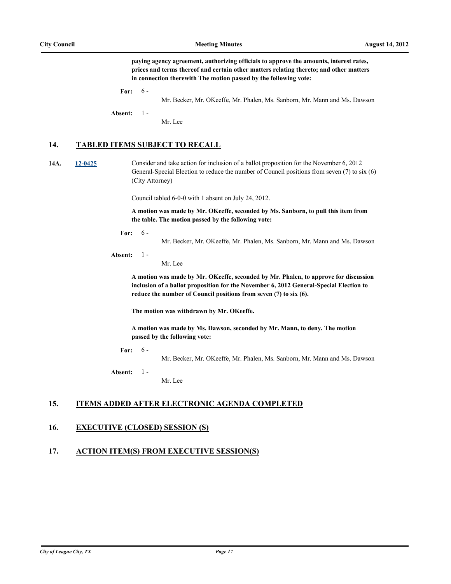**paying agency agreement, authorizing officials to approve the amounts, interest rates, prices and terms thereof and certain other matters relating thereto; and other matters in connection therewith The motion passed by the following vote:**

**For:**  $6 -$ 

Mr. Becker, Mr. OKeeffe, Mr. Phalen, Ms. Sanborn, Mr. Mann and Ms. Dawson

**Absent:** 1 -

Mr. Lee

#### **14. TABLED ITEMS SUBJECT TO RECALL**

**14A. [12-0425](http://leaguecity.legistar.com/gateway.aspx?m=l&id=3273)** Consider and take action for inclusion of a ballot proposition for the November 6, 2012 General-Special Election to reduce the number of Council positions from seven (7) to six (6) (City Attorney)

Council tabled 6-0-0 with 1 absent on July 24, 2012.

**A motion was made by Mr. OKeeffe, seconded by Ms. Sanborn, to pull this item from the table. The motion passed by the following vote:**

**For:** 6 -

Mr. Becker, Mr. OKeeffe, Mr. Phalen, Ms. Sanborn, Mr. Mann and Ms. Dawson

**Absent:** 1 -

Mr. Lee

**A motion was made by Mr. OKeeffe, seconded by Mr. Phalen, to approve for discussion inclusion of a ballot proposition for the November 6, 2012 General-Special Election to reduce the number of Council positions from seven (7) to six (6).**

**The motion was withdrawn by Mr. OKeeffe.**

**A motion was made by Ms. Dawson, seconded by Mr. Mann, to deny. The motion passed by the following vote:**

**For:**  $6 -$ 

Mr. Becker, Mr. OKeeffe, Mr. Phalen, Ms. Sanborn, Mr. Mann and Ms. Dawson

**Absent:**  $1 -$ 

Mr. Lee

### **15. ITEMS ADDED AFTER ELECTRONIC AGENDA COMPLETED**

#### **16. EXECUTIVE (CLOSED) SESSION (S)**

### **17. ACTION ITEM(S) FROM EXECUTIVE SESSION(S)**